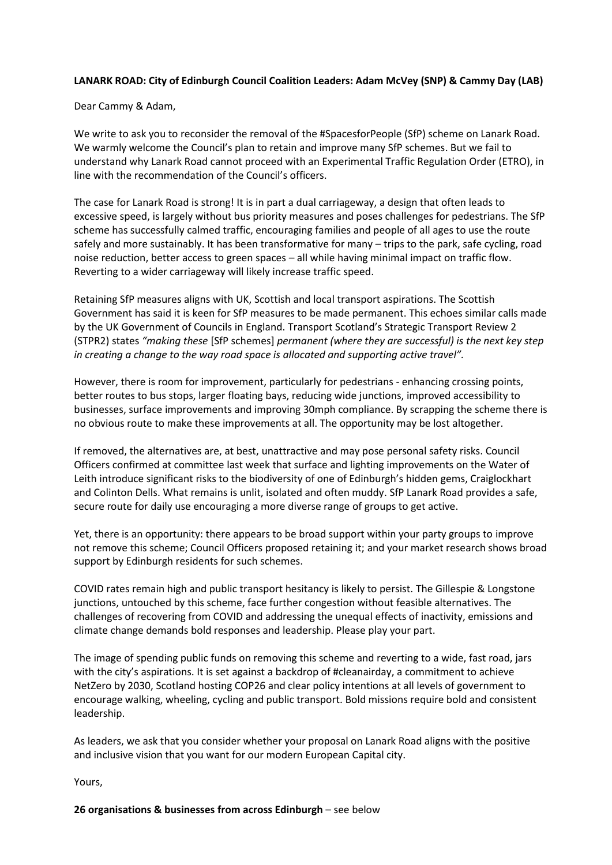## **LANARK ROAD: City of Edinburgh Council Coalition Leaders: Adam McVey (SNP) & Cammy Day (LAB)**

Dear Cammy & Adam,

We write to ask you to reconsider the removal of the #SpacesforPeople (SfP) scheme on Lanark Road. We warmly welcome the Council's plan to retain and improve many SfP schemes. But we fail to understand why Lanark Road cannot proceed with an Experimental Traffic Regulation Order (ETRO), in line with the recommendation of the Council's officers.

The case for Lanark Road is strong! It is in part a dual carriageway, a design that often leads to excessive speed, is largely without bus priority measures and poses challenges for pedestrians. The SfP scheme has successfully calmed traffic, encouraging families and people of all ages to use the route safely and more sustainably. It has been transformative for many – trips to the park, safe cycling, road noise reduction, better access to green spaces – all while having minimal impact on traffic flow. Reverting to a wider carriageway will likely increase traffic speed.

Retaining SfP measures aligns with UK, Scottish and local transport aspirations. The Scottish Government has said it is keen for SfP measures to be made permanent. This echoes similar calls made by the UK Government of Councils in England. Transport Scotland's Strategic Transport Review 2 (STPR2) states *"making these* [SfP schemes] *permanent (where they are successful) is the next key step in creating a change to the way road space is allocated and supporting active travel".* 

However, there is room for improvement, particularly for pedestrians - enhancing crossing points, better routes to bus stops, larger floating bays, reducing wide junctions, improved accessibility to businesses, surface improvements and improving 30mph compliance. By scrapping the scheme there is no obvious route to make these improvements at all. The opportunity may be lost altogether.

If removed, the alternatives are, at best, unattractive and may pose personal safety risks. Council Officers confirmed at committee last week that surface and lighting improvements on the Water of Leith introduce significant risks to the biodiversity of one of Edinburgh's hidden gems, Craiglockhart and Colinton Dells. What remains is unlit, isolated and often muddy. SfP Lanark Road provides a safe, secure route for daily use encouraging a more diverse range of groups to get active.

Yet, there is an opportunity: there appears to be broad support within your party groups to improve not remove this scheme; Council Officers proposed retaining it; and your market research shows broad support by Edinburgh residents for such schemes.

COVID rates remain high and public transport hesitancy is likely to persist. The Gillespie & Longstone junctions, untouched by this scheme, face further congestion without feasible alternatives. The challenges of recovering from COVID and addressing the unequal effects of inactivity, emissions and climate change demands bold responses and leadership. Please play your part.

The image of spending public funds on removing this scheme and reverting to a wide, fast road, jars with the city's aspirations. It is set against a backdrop of #cleanairday, a commitment to achieve NetZero by 2030, Scotland hosting COP26 and clear policy intentions at all levels of government to encourage walking, wheeling, cycling and public transport. Bold missions require bold and consistent leadership.

As leaders, we ask that you consider whether your proposal on Lanark Road aligns with the positive and inclusive vision that you want for our modern European Capital city.

Yours,

**26 organisations & businesses from across Edinburgh** – see below